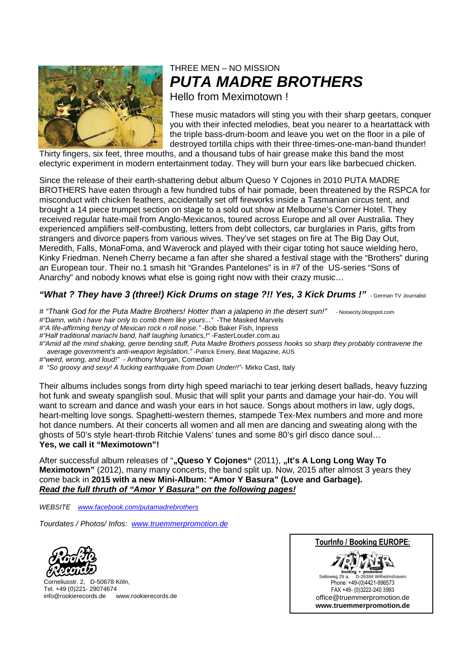

## THREE MEN – NO MISSION **PUTA MADRE BROTHERS**

Hello from Meximotown !

These music matadors will sting you with their sharp geetars, conquer you with their infected melodies, beat you nearer to a heartattack with the triple bass-drum-boom and leave you wet on the floor in a pile of destroyed tortilla chips with their three-times-one-man-band thunder!

Thirty fingers, six feet, three mouths, and a thousand tubs of hair grease make this band the most electyric experiment in modern entertainment today. They will burn your ears like barbecued chicken.

Since the release of their earth-shattering debut album Queso Y Cojones in 2010 PUTA MADRE BROTHERS have eaten through a few hundred tubs of hair pomade, been threatened by the RSPCA for misconduct with chicken feathers, accidentally set off fireworks inside a Tasmanian circus tent, and brought a 14 piece trumpet section on stage to a sold out show at Melbourne's Corner Hotel. They received regular hate-mail from Anglo-Mexicanos, toured across Europe and all over Australia. They experienced amplifiers self-combusting, letters from debt collectors, car burglaries in Paris, gifts from strangers and divorce papers from various wives. They've set stages on fire at The Big Day Out, Meredith, Falls, MonaFoma, and Waverock and played with their cigar toting hot sauce wielding hero, Kinky Friedman. Neneh Cherry became a fan after she shared a festival stage with the "Brothers" during an European tour. Their no.1 smash hit "Grandes Pantelones" is in #7 of the US-series "Sons of Anarchy" and nobody knows what else is going right now with their crazy music…

### **"What ? They have 3 (three!) Kick Drums on stage ?!! Yes, 3 Kick Drums !"** - German TV Journalist

# "Thank God for the Puta Madre Brothers! Hotter than a jalapeno in the desert sun!" - Noisecity.blogspot.com #"Damn, wish i have hair only to comb them like yours..." -The Masked Marvels

- #"A life-affirming frenzy of Mexican rock n roll noise." -Bob Baker Fish, Inpress
- #"Half traditional mariachi band, half laughing lunatics,!" -FasterLouder.com.au

#"Amid all the mind shaking, genre bending stuff, Puta Madre Brothers possess hooks so sharp they probably contravene the average government's anti-weapon legislation." -Patrick Emery, Beat Magazine, AUS

- #"weird, wrong, and loud!" Anthony Morgan, Comedian
- # "So groovy and sexy! A fucking earthquake from Down Under!!"- Mirko Cast, Italy

Their albums includes songs from dirty high speed mariachi to tear jerking desert ballads, heavy fuzzing hot funk and sweaty spanglish soul. Music that will split your pants and damage your hair-do. You will want to scream and dance and wash your ears in hot sauce. Songs about mothers in law, ugly dogs, heart-melting love songs. Spaghetti-western themes, stampede Tex-Mex numbers and more and more hot dance numbers. At their concerts all women and all men are dancing and sweating along with the ghosts of 50's style heart-throb Ritchie Valens' tunes and some 80's girl disco dance soul… **Yes, we call it "Meximotown"!** 

After successful album releases of ""Queso Y Cojones" (2011), "It's A Long Long Way To **Meximotown"** (2012), many many concerts, the band split up. Now, 2015 after almost 3 years they come back in **2015 with a new Mini-Album: "Amor Y Basura" (Love and Garbage). Read the full thruth of "Amor Y Basura" on the following pages!**

WEBSITE www.facebook.com/putamadrebrothers

Tourdates / Photos/ Infos: www.truemmerpromotion.de



Corneliusstr. 2, D-50678 Köln, Tel. +49 (0)221- 29074674 info@rookierecords.de www.rookierecords.de

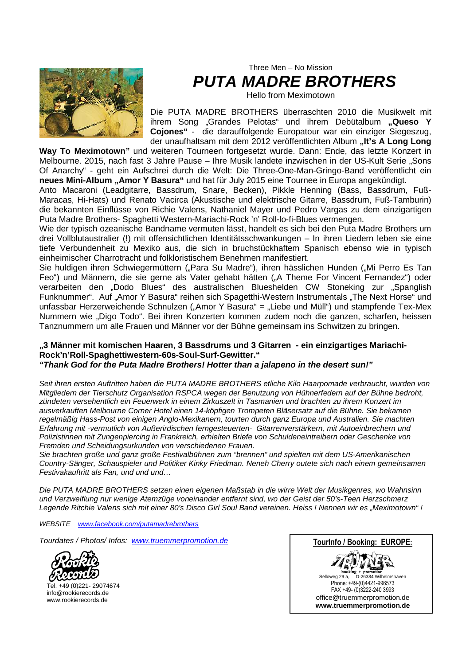

Three Men – No Mission **PUTA MADRE BROTHERS** 

Hello from Meximotown

Die PUTA MADRE BROTHERS überraschten 2010 die Musikwelt mit ihrem Song "Grandes Pelotas" und ihrem Debütalbum "Queso Y **Cojones"** - die darauffolgende Europatour war ein einziger Siegeszug, der unaufhaltsam mit dem 2012 veröffentlichten Album "It's A Long Long

**Way To Meximotown"** und weiteren Tourneen fortgesetzt wurde. Dann: Ende, das letzte Konzert in Melbourne. 2015, nach fast 3 Jahre Pause – Ihre Musik landete inzwischen in der US-Kult Serie "Sons Of Anarchy" - geht ein Aufschrei durch die Welt: Die Three-One-Man-Gringo-Band veröffentlicht ein **neues Mini-Album "Amor Y Basura"** und hat für July 2015 eine Tournee in Europa angekündigt.

Anto Macaroni (Leadgitarre, Bassdrum, Snare, Becken), Pikkle Henning (Bass, Bassdrum, Fuß-Maracas, Hi-Hats) und Renato Vacirca (Akustische und elektrische Gitarre, Bassdrum, Fuß-Tamburin) die bekannten Einflüsse von Richie Valens, Nathaniel Mayer und Pedro Vargas zu dem einzigartigen Puta Madre Brothers- Spaghetti Western-Mariachi-Rock 'n' Roll-lo-fi-Blues vermengen.

Wie der typisch ozeanische Bandname vermuten lässt, handelt es sich bei den Puta Madre Brothers um drei Vollblutaustralier (!) mit offensichtlichen Identitätsschwankungen – In ihren Liedern leben sie eine tiefe Verbundenheit zu Mexiko aus, die sich in bruchstückhaftem Spanisch ebenso wie in typisch einheimischer Charrotracht und folkloristischem Benehmen manifestiert.

Sie huldigen ihren Schwiegermüttern ("Para Su Madre"), ihren hässlichen Hunden ("Mi Perro Es Tan Feo") und Männern, die sie gerne als Vater gehabt hätten ("A Theme For Vincent Fernandez") oder verarbeiten den "Dodo Blues" des australischen Blueshelden CW Stoneking zur "Spanglish Funknummer". Auf "Amor Y Basura" reihen sich Spagetthi-Western Instrumentals "The Next Horse" und unfassbar Herzerweichende Schnulzen ("Amor Y Basura" = "Liebe und Müll") und stampfende Tex-Mex Nummern wie "Digo Todo". Bei ihren Konzerten kommen zudem noch die ganzen, scharfen, heissen Tanznummern um alle Frauen und Männer vor der Bühne gemeinsam ins Schwitzen zu bringen.

#### **"3 Männer mit komischen Haaren, 3 Bassdrums und 3 Gitarren - ein einzigartiges Mariachi-Rock'n'Roll-Spaghettiwestern-60s-Soul-Surf-Gewitter." "Thank God for the Puta Madre Brothers! Hotter than a jalapeno in the desert sun!"**

Seit ihren ersten Auftritten haben die PUTA MADRE BROTHERS etliche Kilo Haarpomade verbraucht, wurden von Mitgliedern der Tierschutz Organisation RSPCA wegen der Benutzung von Hühnerfedern auf der Bühne bedroht, zündeten versehentlich ein Feuerwerk in einem Zirkuszelt in Tasmanien und brachten zu ihrem Konzert im ausverkauften Melbourne Corner Hotel einen 14-köpfigen Trompeten Bläsersatz auf die Bühne. Sie bekamen regelmäßig Hass-Post von einigen Anglo-Mexikanern, tourten durch ganz Europa und Australien. Sie machten Erfahrung mit -vermutlich von Außerirdischen ferngesteuerten- Gitarrenverstärkern, mit Autoeinbrechern und Polizistinnen mit Zungenpiercing in Frankreich, erhielten Briefe von Schuldeneintreibern oder Geschenke von Fremden und Scheidungsurkunden von verschiedenen Frauen.

Sie brachten große und ganz große Festivalbühnen zum "brennen" und spielten mit dem US-Amerikanischen Country-Sänger, Schauspieler und Politiker Kinky Friedman. Neneh Cherry outete sich nach einem gemeinsamen Festivakauftritt als Fan, und und und…

Die PUTA MADRE BROTHERS setzen einen eigenen Maßstab in die wirre Welt der Musikgenres, wo Wahnsinn und Verzweiflung nur wenige Atemzüge voneinander entfernt sind, wo der Geist der 50's-Teen Herzschmerz Legende Ritchie Valens sich mit einer 80's Disco Girl Soul Band vereinen. Heiss ! Nennen wir es "Meximotown" !

WEBSITE www.facebook.com/putamadrebrothers

Tourdates / Photos/ Infos: www.truemmerpromotion.de



Tel. +49 (0)221- 29074674 info@rookierecords.de www.rookierecords.de

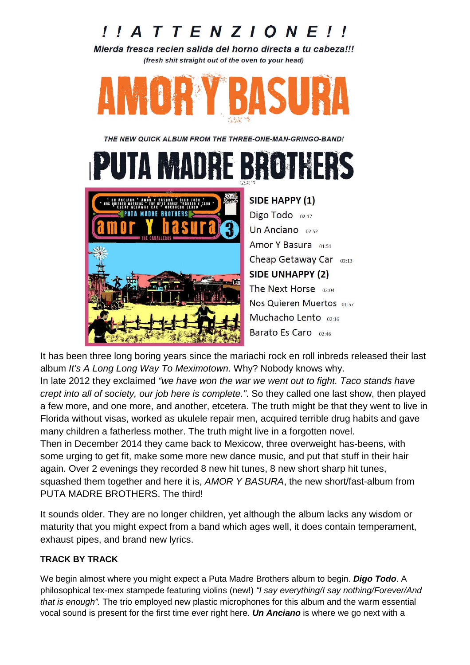# $I$   $I$   $I$   $I$   $I$   $E$   $N$   $Z$   $I$   $O$   $N$   $E$   $I$   $I$

Mierda fresca recien salida del horno directa a tu cabeza!!! (fresh shit straight out of the oven to your head)



THE NEW QUICK ALBUM FROM THE THREE-ONE-MAN-GRINGO-BAND!

 $\begin{bmatrix} 1 \\ 2 \\ 3 \end{bmatrix}$ SIDE HAPPY (1)



Digo Todo  $02:17$ Un Anciano 02:52 Amor Y Basura 01:51 Cheap Getaway Car 02:13 **SIDE UNHAPPY (2)** The Next Horse 02:04 Nos Quieren Muertos 01:57 Muchacho Lento 02:16 Barato Es Caro 02:46

It has been three long boring years since the mariachi rock en roll inbreds released their last album It's A Long Long Way To Meximotown. Why? Nobody knows why.

In late 2012 they exclaimed "we have won the war we went out to fight. Taco stands have crept into all of society, our job here is complete.". So they called one last show, then played a few more, and one more, and another, etcetera. The truth might be that they went to live in Florida without visas, worked as ukulele repair men, acquired terrible drug habits and gave many children a fatherless mother. The truth might live in a forgotten novel.

Then in December 2014 they came back to Mexicow, three overweight has-beens, with some urging to get fit, make some more new dance music, and put that stuff in their hair again. Over 2 evenings they recorded 8 new hit tunes, 8 new short sharp hit tunes, squashed them together and here it is, AMOR Y BASURA, the new short/fast-album from PUTA MADRE BROTHERS. The third!

It sounds older. They are no longer children, yet although the album lacks any wisdom or maturity that you might expect from a band which ages well, it does contain temperament, exhaust pipes, and brand new lyrics.

### **TRACK BY TRACK**

We begin almost where you might expect a Puta Madre Brothers album to begin. **Digo Todo**. A philosophical tex-mex stampede featuring violins (new!) "I say everything/I say nothing/Forever/And that is enough". The trio employed new plastic microphones for this album and the warm essential vocal sound is present for the first time ever right here. **Un Anciano** is where we go next with a